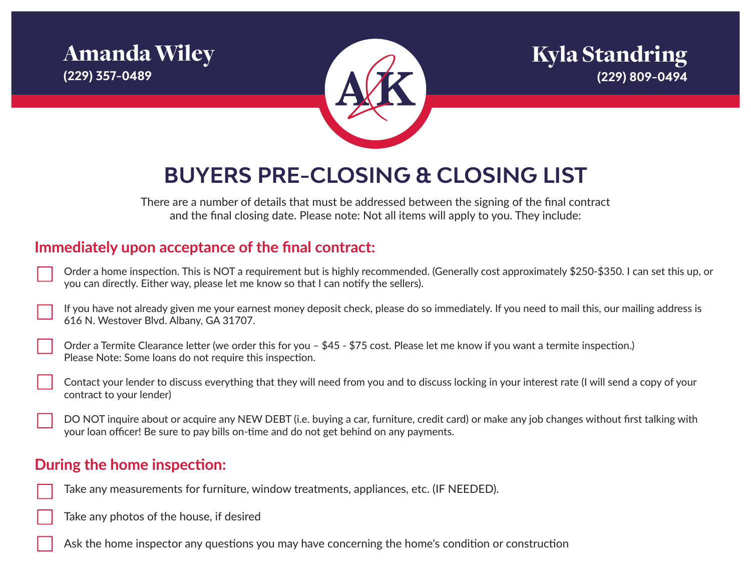



# **BUYERS PRE-CLOSING & CLOSING LIST**

There are a number of details that must be addressed between the signing of the final contract and the final closing date. Please note: Not all items will apply to you. They include:

# **Immediately upon acceptance of the final contract:**

| $^\prime$ Order a home inspection. This is NOT a requirement but is highly recommended. (Generally cost approximately \$250-\$350. I can set this up, or |
|----------------------------------------------------------------------------------------------------------------------------------------------------------|
| you can directly. Either way, please let me know so that I can notify the sellers).                                                                      |

If you have not already given me your earnest money deposit check, please do so immediately. If you need to mail this, our mailing address is 616 N. Westover Blvd. Albany, GA 31707.

Order a Termite Clearance letter (we order this for you – \$45 - \$75 cost. Please let me know if you want a termite inspection.) Please Note: Some loans do not require this inspection.

Contact your lender to discuss everything that they will need from you and to discuss locking in your interest rate (I will send a copy of your contract to your lender)

DO NOT inquire about or acquire any NEW DEBT (i.e. buying a car, furniture, credit card) or make any job changes without first talking with your loan officer! Be sure to pay bills on-time and do not get behind on any payments.

#### **During the home inspection:**

- Take any measurements for furniture, window treatments, appliances, etc. (IF NEEDED).
- Take any photos of the house, if desired
- Ask the home inspector any questions you may have concerning the home's condition or construction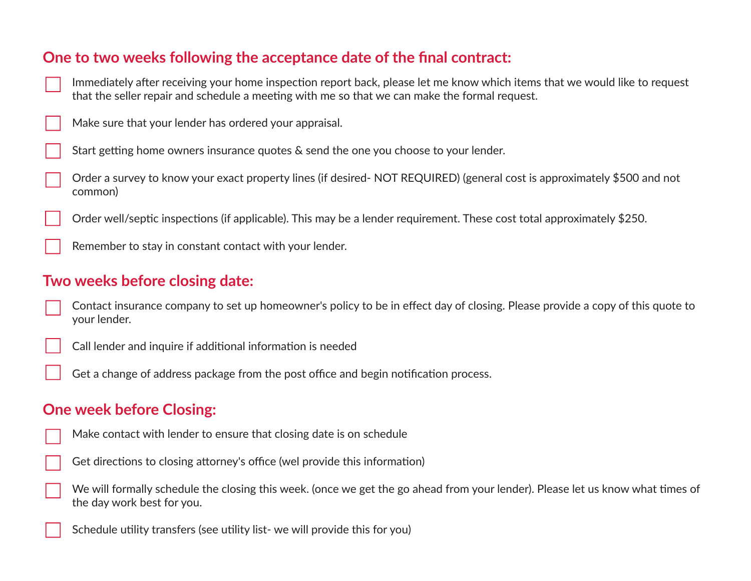# **One to two weeks following the acceptance date of the final contract:**

- Immediately after receiving your home inspection report back, please let me know which items that we would like to request that the seller repair and schedule a meeting with me so that we can make the formal request.
- Make sure that your lender has ordered your appraisal.
- Start getting home owners insurance quotes & send the one you choose to your lender.
- Order a survey to know your exact property lines (if desired- NOT REQUIRED) (general cost is approximately \$500 and not common)
	- Order well/septic inspections (if applicable). This may be a lender requirement. These cost total approximately \$250.
	- Remember to stay in constant contact with your lender.

#### **Two weeks before closing date:**

- Contact insurance company to set up homeowner's policy to be in effect day of closing. Please provide a copy of this quote to your lender.
- Call lender and inquire if additional information is needed
	- Get a change of address package from the post office and begin notification process.

#### **One week before Closing:**

- Make contact with lender to ensure that closing date is on schedule
- Get directions to closing attorney's office (wel provide this information)
- We will formally schedule the closing this week. (once we get the go ahead from your lender). Please let us know what times of the day work best for you.
	- Schedule utility transfers (see utility list- we will provide this for you)